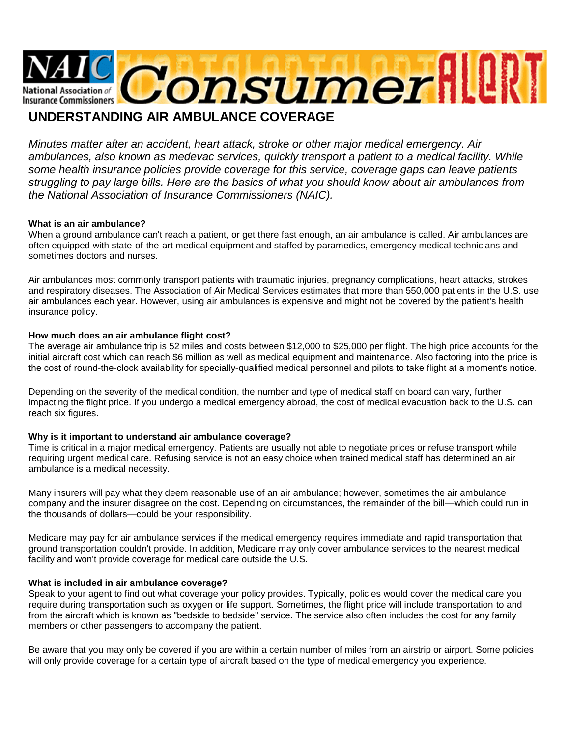

# **UNDERSTANDING AIR AMBULANCE COVERAGE**

*Minutes matter after an accident, heart attack, stroke or other major medical emergency. Air ambulances, also known as medevac services, quickly transport a patient to a medical facility. While some health insurance policies provide coverage for this service, coverage gaps can leave patients struggling to pay large bills. Here are the basics of what you should know about air ambulances from the National Association of Insurance Commissioners (NAIC).*

# **What is an air ambulance?**

When a ground ambulance can't reach a patient, or get there fast enough, an air ambulance is called. Air ambulances are often equipped with state-of-the-art medical equipment and staffed by paramedics, emergency medical technicians and sometimes doctors and nurses.

Air ambulances most commonly transport patients with traumatic injuries, pregnancy complications, heart attacks, strokes and respiratory diseases. The Association of Air Medical Services estimates that more than 550,000 patients in the U.S. use air ambulances each year. However, using air ambulances is expensive and might not be covered by the patient's health insurance policy.

#### **How much does an air ambulance flight cost?**

The average air ambulance trip is 52 miles and costs between \$12,000 to \$25,000 per flight. The high price accounts for the initial aircraft cost which can reach \$6 million as well as medical equipment and maintenance. Also factoring into the price is the cost of round-the-clock availability for specially-qualified medical personnel and pilots to take flight at a moment's notice.

Depending on the severity of the medical condition, the number and type of medical staff on board can vary, further impacting the flight price. If you undergo a medical emergency abroad, the cost of medical evacuation back to the U.S. can reach six figures.

# **Why is it important to understand air ambulance coverage?**

Time is critical in a major medical emergency. Patients are usually not able to negotiate prices or refuse transport while requiring urgent medical care. Refusing service is not an easy choice when trained medical staff has determined an air ambulance is a medical necessity.

Many insurers will pay what they deem reasonable use of an air ambulance; however, sometimes the air ambulance company and the insurer disagree on the cost. Depending on circumstances, the remainder of the bill—which could run in the thousands of dollars—could be your responsibility.

Medicare may pay for air ambulance services if the medical emergency requires immediate and rapid transportation that ground transportation couldn't provide. In addition, Medicare may only cover ambulance services to the nearest medical facility and won't provide coverage for medical care outside the U.S.

#### **What is included in air ambulance coverage?**

Speak to your agent to find out what coverage your policy provides. Typically, policies would cover the medical care you require during transportation such as oxygen or life support. Sometimes, the flight price will include transportation to and from the aircraft which is known as "bedside to bedside" service. The service also often includes the cost for any family members or other passengers to accompany the patient.

Be aware that you may only be covered if you are within a certain number of miles from an airstrip or airport. Some policies will only provide coverage for a certain type of aircraft based on the type of medical emergency you experience.